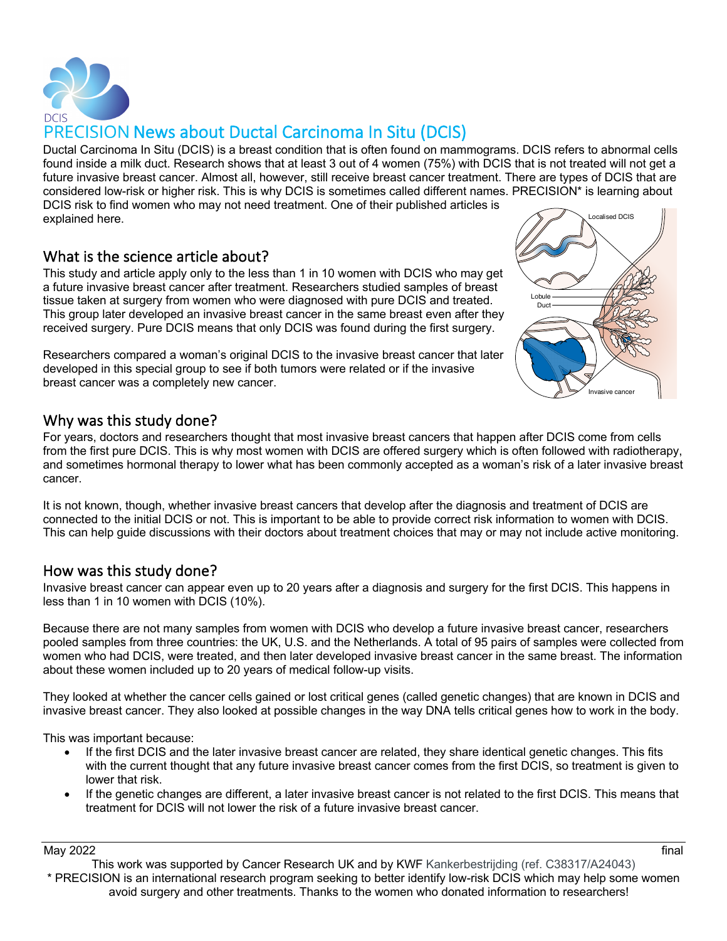

# PRECISION News about Ductal Carcinoma In Situ (DCIS)

Ductal Carcinoma In Situ (DCIS) is a breast condition that is often found on mammograms. DCIS refers to abnormal cells found inside a milk duct. Research shows that at least 3 out of 4 women (75%) with DCIS that is not treated will not get a future invasive breast cancer. Almost all, however, still receive breast cancer treatment. There are types of DCIS that are considered low-risk or higher risk. This is why DCIS is sometimes called different names. PRECISION\* is learning about DCIS risk to find women who may not need treatment. One of their published articles is explained here. Localised DCIS

#### What is the science article about?

This study and article apply only to the less than 1 in 10 women with DCIS who may get a future invasive breast cancer after treatment. Researchers studied samples of breast tissue taken at surgery from women who were diagnosed with pure DCIS and treated. This group later developed an invasive breast cancer in the same breast even after they received surgery. Pure DCIS means that only DCIS was found during the first surgery.

Researchers compared a woman's original DCIS to the invasive breast cancer that later developed in this special group to see if both tumors were related or if the invasive breast cancer was a completely new cancer.



#### Why was this study done?

For years, doctors and researchers thought that most invasive breast cancers that happen after DCIS come from cells from the first pure DCIS. This is why most women with DCIS are offered surgery which is often followed with radiotherapy, and sometimes hormonal therapy to lower what has been commonly accepted as a woman's risk of a later invasive breast cancer.

It is not known, though, whether invasive breast cancers that develop after the diagnosis and treatment of DCIS are connected to the initial DCIS or not. This is important to be able to provide correct risk information to women with DCIS. This can help guide discussions with their doctors about treatment choices that may or may not include active monitoring.

### How was this study done?

Invasive breast cancer can appear even up to 20 years after a diagnosis and surgery for the first DCIS. This happens in less than 1 in 10 women with DCIS (10%).

Because there are not many samples from women with DCIS who develop a future invasive breast cancer, researchers pooled samples from three countries: the UK, U.S. and the Netherlands. A total of 95 pairs of samples were collected from women who had DCIS, were treated, and then later developed invasive breast cancer in the same breast. The information about these women included up to 20 years of medical follow-up visits.

They looked at whether the cancer cells gained or lost critical genes (called genetic changes) that are known in DCIS and invasive breast cancer. They also looked at possible changes in the way DNA tells critical genes how to work in the body.

This was important because:

- If the first DCIS and the later invasive breast cancer are related, they share identical genetic changes. This fits with the current thought that any future invasive breast cancer comes from the first DCIS, so treatment is given to lower that risk.
- If the genetic changes are different, a later invasive breast cancer is not related to the first DCIS. This means that treatment for DCIS will not lower the risk of a future invasive breast cancer.

May 2022 final wave and the control of the control of the control of the control of the control of the control of the control of the control of the control of the control of the control of the control of the control of the

This work was supported by Cancer Research UK and by KWF Kankerbestrijding (ref. C38317/A24043) \* PRECISION is an international research program seeking to better identify low-risk DCIS which may help some women

avoid surgery and other treatments. Thanks to the women who donated information to researchers!